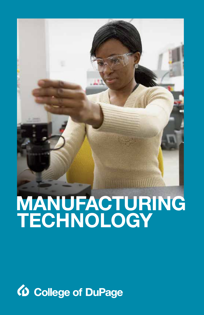# **MANUFACTURING TECHNOLOGY**

**TANARIAN** 

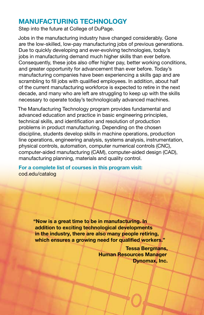# **MANUFACTURING TECHNOLOGY**

Step into the future at College of DuPage.

Jobs in the manufacturing industry have changed considerably. Gone are the low-skilled, low-pay manufacturing jobs of previous generations. Due to quickly developing and ever-evolving technologies, today's jobs in manufacturing demand much higher skills than ever before. Consequently, these jobs also offer higher pay, better working conditions, and greater opportunity for advancement than ever before. Today's manufacturing companies have been experiencing a skills gap and are scrambling to fill jobs with qualified employees. In addition, about half of the current manufacturing workforce is expected to retire in the next decade, and many who are left are struggling to keep up with the skills necessary to operate today's technologically advanced machines.

The Manufacturing Technology program provides fundamental and advanced education and practice in basic engineering principles, technical skills, and identification and resolution of production problems in product manufacturing. Depending on the chosen discipline, students develop skills in machine operations, production line operations, engineering analysis, systems analysis, instrumentation, physical controls, automation, computer numerical controls (CNC), computer-aided manufacturing (CAM), computer-aided design (CAD), manufacturing planning, materials and quality control.

**For a complete list of courses in this program visit:** cod.edu/catalog

> **"Now is a great time to be in manufacturing. In addition to exciting technological developments in the industry, there are also many people retiring, which ensures a growing need for qualified workers."**

> > **Tessa Bergmans, Human Resources Manager Dynomax, Inc.**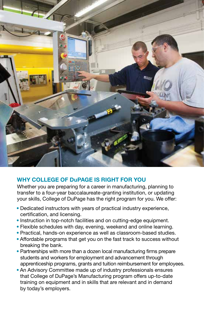

# **WHY COLLEGE OF DuPAGE IS RIGHT FOR YOU**

Whether you are preparing for a career in manufacturing, planning to transfer to a four-year baccalaureate-granting institution, or updating your skills, College of DuPage has the right program for you. We offer:

- **•** Dedicated instructors with years of practical industry experience, certification, and licensing.
- **•** Instruction in top-notch facilities and on cutting-edge equipment.
- **•** Flexible schedules with day, evening, weekend and online learning.
- **•** Practical, hands-on experience as well as classroom-based studies.
- **•** Affordable programs that get you on the fast track to success without breaking the bank.
- **•** Partnerships with more than a dozen local manufacturing firms prepare students and workers for employment and advancement through apprenticeship programs, grants and tuition reimbursement for employees.
- **•** An Advisory Committee made up of industry professionals ensures that College of DuPage's Manufacturing program offers up-to-date training on equipment and in skills that are relevant and in demand by today's employers.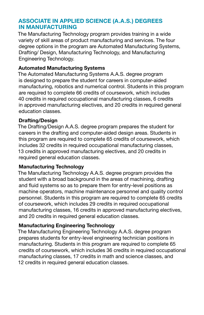# **ASSOCIATE IN APPLIED SCIENCE (A.A.S.) DEGREES IN MANUFACTURING**

The Manufacturing Technology program provides training in a wide variety of skill areas of product manufacturing and services. The four degree options in the program are Automated Manufacturing Systems, Drafting/ Design, Manufacturing Technology, and Manufacturing Engineering Technology.

#### **Automated Manufacturing Systems**

The Automated Manufacturing Systems A.A.S. degree program is designed to prepare the student for careers in computer-aided manufacturing, robotics and numerical control. Students in this program are required to complete 66 credits of coursework, which includes 40 credits in required occupational manufacturing classes, 6 credits in approved manufacturing electives, and 20 credits in required general education classes.

#### **Drafting/Design**

The Drafting/Design A.A.S. degree program prepares the student for careers in the drafting and computer-aided design areas. Students in this program are required to complete 65 credits of coursework, which includes 32 credits in required occupational manufacturing classes, 13 credits in approved manufacturing electives, and 20 credits in required general education classes.

#### **Manufacturing Technology**

The Manufacturing Technology A.A.S. degree program provides the student with a broad background in the areas of machining, drafting and fluid systems so as to prepare them for entry-level positions as machine operators, machine maintenance personnel and quality control personnel. Students in this program are required to complete 65 credits of coursework, which includes 29 credits in required occupational manufacturing classes, 16 credits in approved manufacturing electives, and 20 credits in required general education classes.

#### **Manufacturing Engineering Technology**

The Manufacturing Engineering Technology A.A.S. degree program prepares students for entry-level engineering technician positions in manufacturing. Students in this program are required to complete 65 credits of coursework, which includes 36 credits in required occupational manufacturing classes, 17 credits in math and science classes, and 12 credits in required general education classes.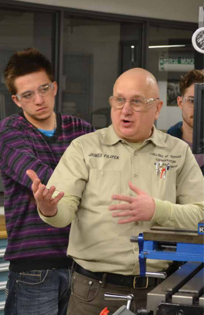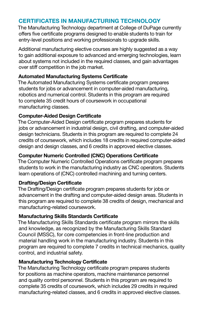# **CERTIFICATES IN MANUFACTURING TECHNOLOGY**

The Manufacturing Technology department at College of DuPage currently offers five certificate programs designed to enable students to train for entry-level positions and working professionals to upgrade skills.

Additional manufacturing elective courses are highly suggested as a way to gain additional exposure to advanced and emerging technologies, learn about systems not included in the required classes, and gain advantages over stiff competition in the job market.

#### **Automated Manufacturing Systems Certificate**

The Automated Manufacturing Systems certificate program prepares students for jobs or advancement in computer-aided manufacturing, robotics and numerical control. Students in this program are required to complete 35 credit hours of coursework in occupational manufacturing classes.

#### **Computer-Aided Design Certificate**

The Computer-Aided Design certificate program prepares students for jobs or advancement in industrial design, civil drafting, and computer-aided design technicians. Students in this program are required to complete 24 credits of coursework, which includes 18 credits in required computer-aided design and design classes, and 6 credits in approved elective classes.

#### **Computer Numeric Controlled (CNC) Operations Certificate**

The Computer Numeric Controlled Operations certificate program prepares students to work in the manufacturing industry as CNC operators. Students learn operations of (CNC) controlled machining and turning centers.

#### **Drafting/Design Certificate**

The Drafting/Design certificate program prepares students for jobs or advancement in the drafting and computer-aided design areas. Students in this program are required to complete 38 credits of design, mechanical and manufacturing-related coursework.

#### **Manufacturing Skills Standards Certificate**

The Manufacturing Skills Standards certificate program mirrors the skills and knowledge, as recognized by the Manufacturing Skills Standard Council (MSSC), for core competencies in front-line production and material handling work in the manufacturing industry. Students in this program are required to complete 7 credits in technical mechanics, quality control, and industrial safety.

#### **Manufacturing Technology Certificate**

The Manufacturing Technology certificate program prepares students for positions as machine operators, machine maintenance personnel and quality control personnel. Students in this program are required to complete 35 credits of coursework, which includes 29 credits in required manufacturing-related classes, and 6 credits in approved elective classes.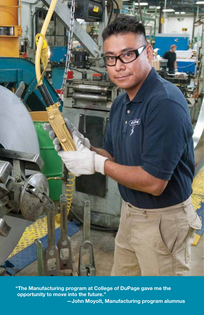

**"The Manufacturing program at College of DuPage gave me the opportunity to move into the future." —John Moyolt, Manufacturing program alumnus**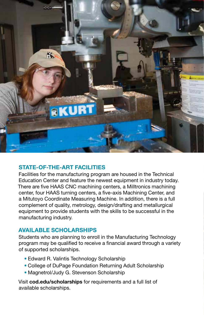

# **STATE-OF-THE-ART FACILITIES**

Facilities for the manufacturing program are housed in the Technical Education Center and feature the newest equipment in industry today. There are five HAAS CNC machining centers, a Milltronics machining center, four HAAS turning centers, a five-axis Machining Center, and a Mitutoyo Coordinate Measuring Machine. In addition, there is a full complement of quality, metrology, design/drafting and metallurgical equipment to provide students with the skills to be successful in the manufacturing industry.

# **AVAILABLE SCHOLARSHIPS**

Students who are planning to enroll in the Manufacturing Technology program may be qualified to receive a financial award through a variety of supported scholarships.

- **•** Edward R. Valintis Technology Scholarship
- **•** College of DuPage Foundation Returning Adult Scholarship
- **•** Magnetrol/Judy G. Stevenson Scholarship

Visit **cod.edu/scholarships** for requirements and a full list of available scholarships.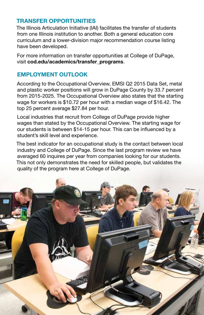# **TRANSFER OPPORTUNITIES**

The Illinois Articulation Initiative (IAI) facilitates the transfer of students from one Illinois institution to another. Both a general education core curriculum and a lower-division major recommendation course listing have been developed.

For more information on transfer opportunities at College of DuPage, visit **cod.edu/academics/transfer\_programs**.

#### **EMPLOYMENT OUTLOOK**

According to the Occupational Overview, EMSI Q2 2015 Data Set, metal and plastic worker positions will grow in DuPage County by 33.7 percent from 2015-2025. The Occupational Overview also states that the starting wage for workers is \$10.72 per hour with a median wage of \$16.42. The top 25 percent average \$27.84 per hour.

Local industries that recruit from College of DuPage provide higher wages than stated by the Occupational Overview. The starting wage for our students is between \$14-15 per hour. This can be influenced by a student's skill level and experience.

The best indicator for an occupational study is the contact between local industry and College of DuPage. Since the last program review we have averaged 60 inquires per year from companies looking for our students. This not only demonstrates the need for skilled people, but validates the quality of the program here at College of DuPage.

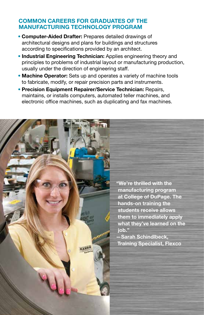#### **COMMON CAREERS FOR GRADUATES OF THE MANUFACTURING TECHNOLOGY PROGRAM**

- **• Computer-Aided Drafter:** Prepares detailed drawings of architectural designs and plans for buildings and structures according to specifications provided by an architect.
- **• Industrial Engineering Technician:** Applies engineering theory and principles to problems of industrial layout or manufacturing production, usually under the direction of engineering staff.
- **• Machine Operator:** Sets up and operates a variety of machine tools to fabricate, modify, or repair precision parts and instruments.
- **• Precision Equipment Repairer/Service Technician:** Repairs, maintains, or installs computers, automated teller machines, and electronic office machines, such as duplicating and fax machines.

**"We're thrilled with the manufacturing program at College of DuPage. The hands-on training the students receive allows them to immediately apply what they've learned on the job."**

**—Sarah Schindlbeck, Training Specialist, Flexco**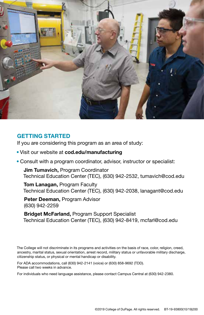

#### **GETTING STARTED**

If you are considering this program as an area of study:

- **•** Visit our website at **cod.edu/manufacturing**
- **•** Consult with a program coordinator, advisor, instructor or specialist:

**Jim Tumavich,** Program Coordinator Technical Education Center (TEC), (630) 942-2532, tumavich@cod.edu

**Tom Lanagan,** Program Faculty Technical Education Center (TEC), (630) 942-2038, lanagant@cod.edu

**Peter Deeman,** Program Advisor (630) 942-2259

**Bridget McFarland,** Program Support Specialist Technical Education Center (TEC), (630) 942-8419, mcfarl@cod.edu

The College will not discriminate in its programs and activities on the basis of race, color, religion, creed, ancestry, marital status, sexual orientation, arrest record, military status or unfavorable military discharge, citizenship status, or physical or mental handicap or disability.

For ADA accommodations, call (630) 942-2141 (voice) or (630) 858-9692 (TDD). Please call two weeks in advance.

For individuals who need language assistance, please contact Campus Central at (630) 942-2380.